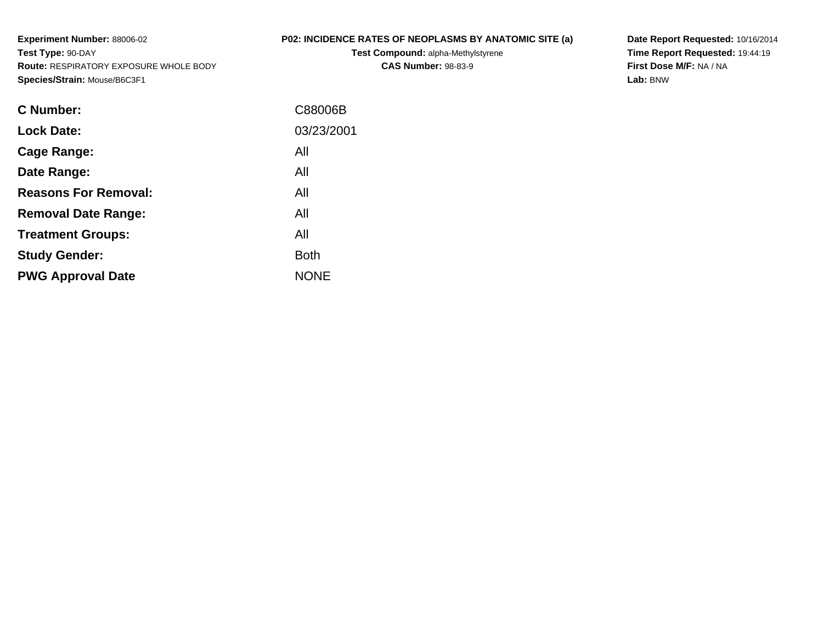**Experiment Number:** 88006-02**Test Type:** 90-DAY **Route:** RESPIRATORY EXPOSURE WHOLE BODY**Species/Strain:** Mouse/B6C3F1

## **P02: INCIDENCE RATES OF NEOPLASMS BY ANATOMIC SITE (a)**

**Test Compound:** alpha-Methylstyrene**CAS Number:** 98-83-9

**Date Report Requested:** 10/16/2014 **Time Report Requested:** 19:44:19**First Dose M/F:** NA / NA**Lab:** BNW

| <b>C</b> Number:            | C88006B     |
|-----------------------------|-------------|
| <b>Lock Date:</b>           | 03/23/2001  |
| Cage Range:                 | All         |
| Date Range:                 | All         |
| <b>Reasons For Removal:</b> | All         |
| <b>Removal Date Range:</b>  | All         |
| <b>Treatment Groups:</b>    | All         |
| <b>Study Gender:</b>        | <b>Both</b> |
| <b>PWG Approval Date</b>    | <b>NONE</b> |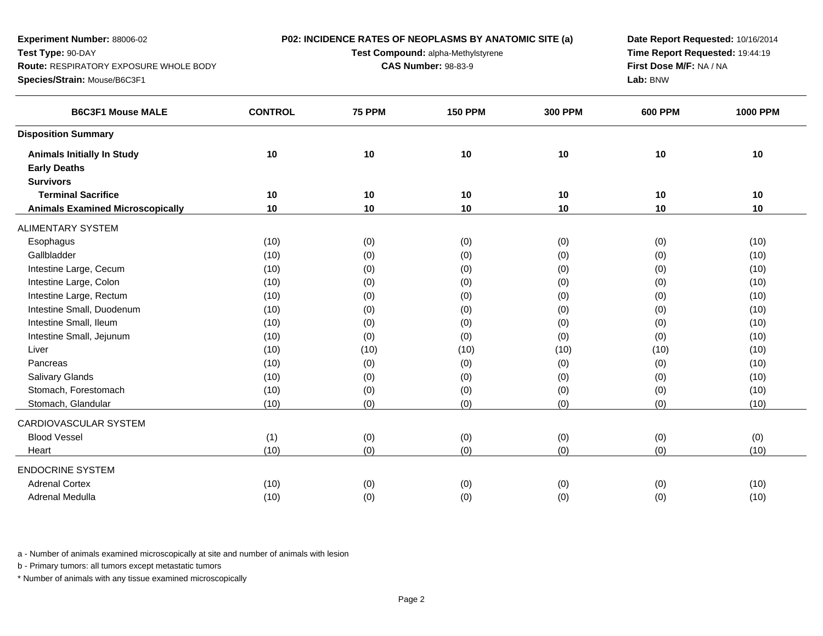| Experiment Number: 88006-02                   |                | P02: INCIDENCE RATES OF NEOPLASMS BY ANATOMIC SITE (a) | Date Report Requested: 10/16/2014 |                                 |                |                 |
|-----------------------------------------------|----------------|--------------------------------------------------------|-----------------------------------|---------------------------------|----------------|-----------------|
| Test Type: 90-DAY                             |                | Test Compound: alpha-Methylstyrene                     |                                   | Time Report Requested: 19:44:19 |                |                 |
| <b>Route: RESPIRATORY EXPOSURE WHOLE BODY</b> |                | <b>CAS Number: 98-83-9</b>                             |                                   | First Dose M/F: NA / NA         |                |                 |
| Species/Strain: Mouse/B6C3F1                  |                |                                                        |                                   |                                 | Lab: BNW       |                 |
| <b>B6C3F1 Mouse MALE</b>                      | <b>CONTROL</b> | <b>75 PPM</b>                                          | <b>150 PPM</b>                    | <b>300 PPM</b>                  | <b>600 PPM</b> | <b>1000 PPM</b> |
| <b>Disposition Summary</b>                    |                |                                                        |                                   |                                 |                |                 |
| <b>Animals Initially In Study</b>             | 10             | 10                                                     | 10                                | 10                              | 10             | 10              |
| <b>Early Deaths</b>                           |                |                                                        |                                   |                                 |                |                 |
| <b>Survivors</b>                              |                |                                                        |                                   |                                 |                |                 |
| <b>Terminal Sacrifice</b>                     | 10             | 10                                                     | 10                                | 10                              | 10             | 10              |
| <b>Animals Examined Microscopically</b>       | 10             | 10                                                     | 10                                | 10                              | 10             | 10              |
| <b>ALIMENTARY SYSTEM</b>                      |                |                                                        |                                   |                                 |                |                 |
| Esophagus                                     | (10)           | (0)                                                    | (0)                               | (0)                             | (0)            | (10)            |
| Gallbladder                                   | (10)           | (0)                                                    | (0)                               | (0)                             | (0)            | (10)            |
| Intestine Large, Cecum                        | (10)           | (0)                                                    | (0)                               | (0)                             | (0)            | (10)            |
| Intestine Large, Colon                        | (10)           | (0)                                                    | (0)                               | (0)                             | (0)            | (10)            |
| Intestine Large, Rectum                       | (10)           | (0)                                                    | (0)                               | (0)                             | (0)            | (10)            |
| Intestine Small, Duodenum                     | (10)           | (0)                                                    | (0)                               | (0)                             | (0)            | (10)            |
| Intestine Small, Ileum                        | (10)           | (0)                                                    | (0)                               | (0)                             | (0)            | (10)            |
| Intestine Small, Jejunum                      | (10)           | (0)                                                    | (0)                               | (0)                             | (0)            | (10)            |
| Liver                                         | (10)           | (10)                                                   | (10)                              | (10)                            | (10)           | (10)            |
| Pancreas                                      | (10)           | (0)                                                    | (0)                               | (0)                             | (0)            | (10)            |
| Salivary Glands                               | (10)           | (0)                                                    | (0)                               | (0)                             | (0)            | (10)            |
| Stomach, Forestomach                          | (10)           | (0)                                                    | (0)                               | (0)                             | (0)            | (10)            |
| Stomach, Glandular                            | (10)           | (0)                                                    | (0)                               | (0)                             | (0)            | (10)            |
| CARDIOVASCULAR SYSTEM                         |                |                                                        |                                   |                                 |                |                 |
| <b>Blood Vessel</b>                           | (1)            | (0)                                                    | (0)                               | (0)                             | (0)            | (0)             |
| Heart                                         | (10)           | (0)                                                    | (0)                               | (0)                             | (0)            | (10)            |
| <b>ENDOCRINE SYSTEM</b>                       |                |                                                        |                                   |                                 |                |                 |
| <b>Adrenal Cortex</b>                         | (10)           | (0)                                                    | (0)                               | (0)                             | (0)            | (10)            |
| Adrenal Medulla                               | (10)           | (0)                                                    | (0)                               | (0)                             | (0)            | (10)            |

b - Primary tumors: all tumors except metastatic tumors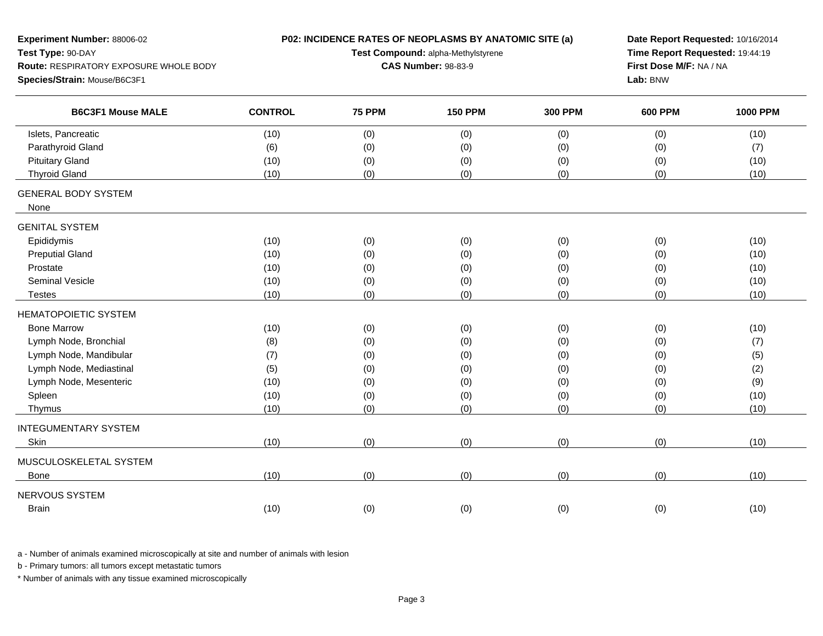| Experiment Number: 88006-02            |                | P02: INCIDENCE RATES OF NEOPLASMS BY ANATOMIC SITE (a) | Date Report Requested: 10/16/2014 |                         |                |                 |
|----------------------------------------|----------------|--------------------------------------------------------|-----------------------------------|-------------------------|----------------|-----------------|
| Test Type: 90-DAY                      |                | Test Compound: alpha-Methylstyrene                     | Time Report Requested: 19:44:19   |                         |                |                 |
| Route: RESPIRATORY EXPOSURE WHOLE BODY |                | <b>CAS Number: 98-83-9</b>                             |                                   | First Dose M/F: NA / NA |                |                 |
| Species/Strain: Mouse/B6C3F1           |                |                                                        |                                   |                         | Lab: BNW       |                 |
| <b>B6C3F1 Mouse MALE</b>               | <b>CONTROL</b> | <b>75 PPM</b>                                          | <b>150 PPM</b>                    | <b>300 PPM</b>          | <b>600 PPM</b> | <b>1000 PPM</b> |
| Islets, Pancreatic                     | (10)           | (0)                                                    | (0)                               | (0)                     | (0)            | (10)            |
| Parathyroid Gland                      | (6)            | (0)                                                    | (0)                               | (0)                     | (0)            | (7)             |
| <b>Pituitary Gland</b>                 | (10)           | (0)                                                    | (0)                               | (0)                     | (0)            | (10)            |
| <b>Thyroid Gland</b>                   | (10)           | (0)                                                    | (0)                               | (0)                     | (0)            | (10)            |
| <b>GENERAL BODY SYSTEM</b><br>None     |                |                                                        |                                   |                         |                |                 |
| <b>GENITAL SYSTEM</b>                  |                |                                                        |                                   |                         |                |                 |
| Epididymis                             | (10)           | (0)                                                    | (0)                               | (0)                     | (0)            | (10)            |
| <b>Preputial Gland</b>                 | (10)           | (0)                                                    | (0)                               | (0)                     | (0)            | (10)            |
| Prostate                               | (10)           | (0)                                                    | (0)                               | (0)                     | (0)            | (10)            |
| <b>Seminal Vesicle</b>                 | (10)           | (0)                                                    | (0)                               | (0)                     | (0)            | (10)            |
| <b>Testes</b>                          | (10)           | (0)                                                    | (0)                               | (0)                     | (0)            | (10)            |
| <b>HEMATOPOIETIC SYSTEM</b>            |                |                                                        |                                   |                         |                |                 |
| <b>Bone Marrow</b>                     | (10)           | (0)                                                    | (0)                               | (0)                     | (0)            | (10)            |
| Lymph Node, Bronchial                  | (8)            | (0)                                                    | (0)                               | (0)                     | (0)            | (7)             |
| Lymph Node, Mandibular                 | (7)            | (0)                                                    | (0)                               | (0)                     | (0)            | (5)             |
| Lymph Node, Mediastinal                | (5)            | (0)                                                    | (0)                               | (0)                     | (0)            | (2)             |
| Lymph Node, Mesenteric                 | (10)           | (0)                                                    | (0)                               | (0)                     | (0)            | (9)             |
| Spleen                                 | (10)           | (0)                                                    | (0)                               | (0)                     | (0)            | (10)            |
| Thymus                                 | (10)           | (0)                                                    | (0)                               | (0)                     | (0)            | (10)            |
| <b>INTEGUMENTARY SYSTEM</b>            |                |                                                        |                                   |                         |                |                 |
| Skin                                   | (10)           | (0)                                                    | (0)                               | (0)                     | (0)            | (10)            |
| MUSCULOSKELETAL SYSTEM                 |                |                                                        |                                   |                         |                |                 |
| <b>Bone</b>                            | (10)           | (0)                                                    | (0)                               | (0)                     | (0)            | (10)            |
| NERVOUS SYSTEM                         |                |                                                        |                                   |                         |                |                 |
| <b>Brain</b>                           | (10)           | (0)                                                    | (0)                               | (0)                     | (0)            | (10)            |
|                                        |                |                                                        |                                   |                         |                |                 |

b - Primary tumors: all tumors except metastatic tumors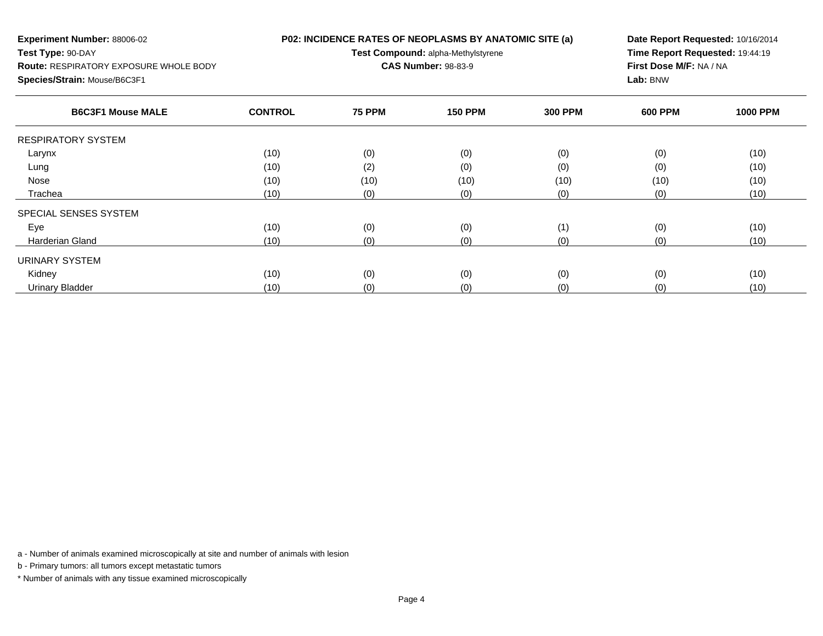| <b>Experiment Number: 88006-02</b><br>Test Type: 90-DAY<br><b>Route: RESPIRATORY EXPOSURE WHOLE BODY</b><br>Species/Strain: Mouse/B6C3F1 |                | P02: INCIDENCE RATES OF NEOPLASMS BY ANATOMIC SITE (a)<br>Test Compound: alpha-Methylstyrene<br><b>CAS Number: 98-83-9</b> | Date Report Requested: 10/16/2014<br>Time Report Requested: 19:44:19<br>First Dose M/F: NA / NA<br>Lab: BNW |                |                |                 |
|------------------------------------------------------------------------------------------------------------------------------------------|----------------|----------------------------------------------------------------------------------------------------------------------------|-------------------------------------------------------------------------------------------------------------|----------------|----------------|-----------------|
| <b>B6C3F1 Mouse MALE</b>                                                                                                                 | <b>CONTROL</b> | <b>75 PPM</b>                                                                                                              | <b>150 PPM</b>                                                                                              | <b>300 PPM</b> | <b>600 PPM</b> | <b>1000 PPM</b> |
| <b>RESPIRATORY SYSTEM</b>                                                                                                                |                |                                                                                                                            |                                                                                                             |                |                |                 |
| Larynx                                                                                                                                   | (10)           | (0)                                                                                                                        | (0)                                                                                                         | (0)            | (0)            | (10)            |
| Lung                                                                                                                                     | (10)           | (2)                                                                                                                        | (0)                                                                                                         | (0)            | (0)            | (10)            |
| Nose                                                                                                                                     | (10)           | (10)                                                                                                                       | (10)                                                                                                        | (10)           | (10)           | (10)            |
| Trachea                                                                                                                                  | (10)           | (0)                                                                                                                        | (0)                                                                                                         | (0)            | (0)            | (10)            |
| SPECIAL SENSES SYSTEM                                                                                                                    |                |                                                                                                                            |                                                                                                             |                |                |                 |
| Eye                                                                                                                                      | (10)           | (0)                                                                                                                        | (0)                                                                                                         | (1)            | (0)            | (10)            |
| <b>Harderian Gland</b>                                                                                                                   | (10)           | (0)                                                                                                                        | (0)                                                                                                         | (0)            | (0)            | (10)            |
| URINARY SYSTEM                                                                                                                           |                |                                                                                                                            |                                                                                                             |                |                |                 |
| Kidney                                                                                                                                   | (10)           | (0)                                                                                                                        | (0)                                                                                                         | (0)            | (0)            | (10)            |

(10) (0) (0) (0) (0) (10)

a - Number of animals examined microscopically at site and number of animals with lesion

b - Primary tumors: all tumors except metastatic tumors

Urinary Bladder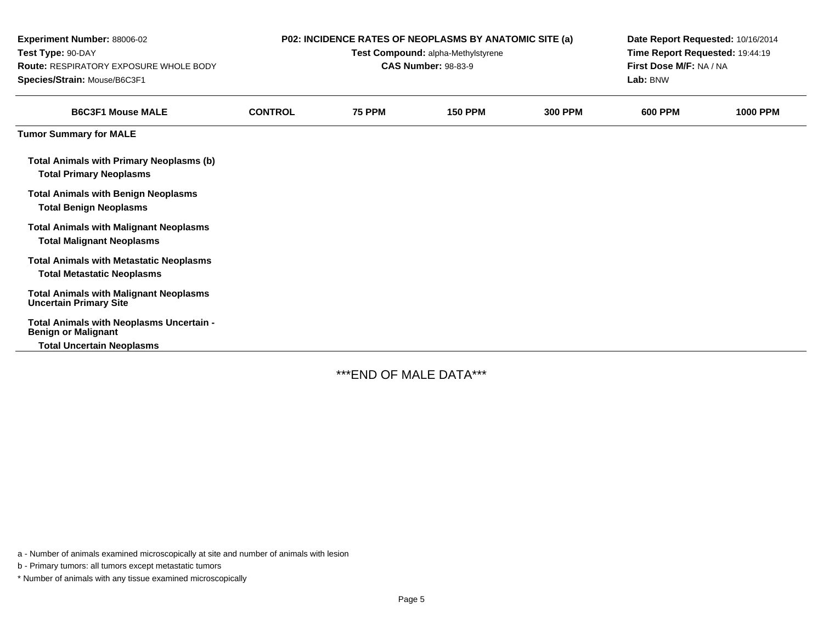| <b>Experiment Number: 88006-02</b><br>Test Type: 90-DAY<br><b>Route: RESPIRATORY EXPOSURE WHOLE BODY</b><br>Species/Strain: Mouse/B6C3F1 |                |               | <b>P02: INCIDENCE RATES OF NEOPLASMS BY ANATOMIC SITE (a)</b><br>Test Compound: alpha-Methylstyrene<br><b>CAS Number: 98-83-9</b> |                | Date Report Requested: 10/16/2014<br>Time Report Requested: 19:44:19<br>First Dose M/F: NA / NA<br>Lab: BNW |                 |
|------------------------------------------------------------------------------------------------------------------------------------------|----------------|---------------|-----------------------------------------------------------------------------------------------------------------------------------|----------------|-------------------------------------------------------------------------------------------------------------|-----------------|
| <b>B6C3F1 Mouse MALE</b>                                                                                                                 | <b>CONTROL</b> | <b>75 PPM</b> | <b>150 PPM</b>                                                                                                                    | <b>300 PPM</b> | <b>600 PPM</b>                                                                                              | <b>1000 PPM</b> |
| <b>Tumor Summary for MALE</b>                                                                                                            |                |               |                                                                                                                                   |                |                                                                                                             |                 |
| <b>Total Animals with Primary Neoplasms (b)</b><br><b>Total Primary Neoplasms</b>                                                        |                |               |                                                                                                                                   |                |                                                                                                             |                 |
| <b>Total Animals with Benign Neoplasms</b><br><b>Total Benign Neoplasms</b>                                                              |                |               |                                                                                                                                   |                |                                                                                                             |                 |
| <b>Total Animals with Malignant Neoplasms</b><br><b>Total Malignant Neoplasms</b>                                                        |                |               |                                                                                                                                   |                |                                                                                                             |                 |
| <b>Total Animals with Metastatic Neoplasms</b><br><b>Total Metastatic Neoplasms</b>                                                      |                |               |                                                                                                                                   |                |                                                                                                             |                 |
| <b>Total Animals with Malignant Neoplasms</b><br><b>Uncertain Primary Site</b>                                                           |                |               |                                                                                                                                   |                |                                                                                                             |                 |
| Total Animals with Neoplasms Uncertain -<br><b>Benign or Malignant</b><br><b>Total Uncertain Neoplasms</b>                               |                |               |                                                                                                                                   |                |                                                                                                             |                 |

\*\*\*END OF MALE DATA\*\*\*

a - Number of animals examined microscopically at site and number of animals with lesion

b - Primary tumors: all tumors except metastatic tumors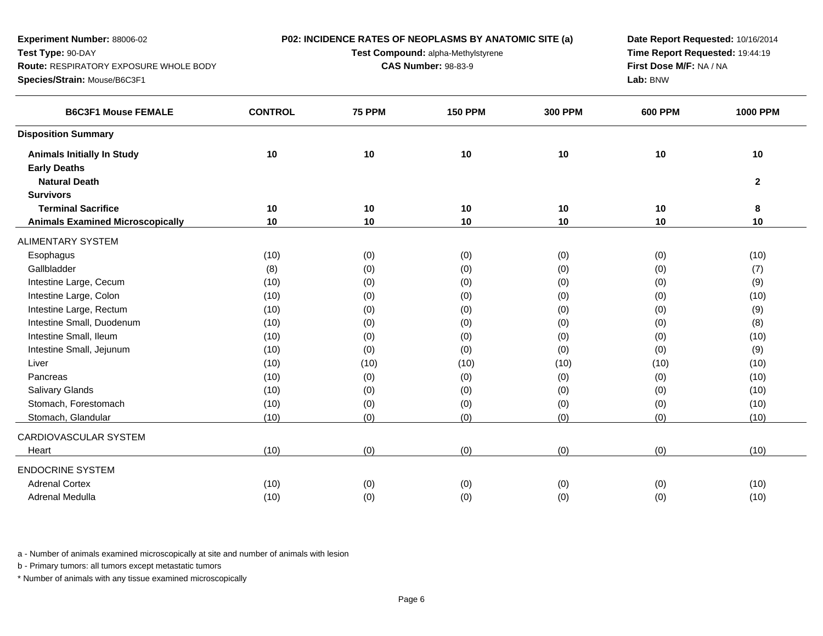| Test Type: 90-DAY<br>Time Report Requested: 19:44:19<br>Test Compound: alpha-Methylstyrene<br>First Dose M/F: NA / NA<br>Route: RESPIRATORY EXPOSURE WHOLE BODY<br><b>CAS Number: 98-83-9</b> |                 |
|-----------------------------------------------------------------------------------------------------------------------------------------------------------------------------------------------|-----------------|
|                                                                                                                                                                                               |                 |
|                                                                                                                                                                                               |                 |
| Lab: BNW<br>Species/Strain: Mouse/B6C3F1                                                                                                                                                      |                 |
| <b>CONTROL</b><br><b>75 PPM</b><br><b>150 PPM</b><br><b>B6C3F1 Mouse FEMALE</b><br><b>300 PPM</b><br><b>600 PPM</b>                                                                           | <b>1000 PPM</b> |
| <b>Disposition Summary</b>                                                                                                                                                                    |                 |
| 10<br>10<br>10<br>10<br>10<br><b>Animals Initially In Study</b>                                                                                                                               | 10              |
| <b>Early Deaths</b>                                                                                                                                                                           |                 |
| <b>Natural Death</b>                                                                                                                                                                          | $\mathbf{2}$    |
| <b>Survivors</b>                                                                                                                                                                              |                 |
| 10<br>10<br><b>Terminal Sacrifice</b><br>10<br>10<br>10                                                                                                                                       | 8               |
| 10<br>10<br>10<br>10<br>10<br><b>Animals Examined Microscopically</b>                                                                                                                         | 10              |
| <b>ALIMENTARY SYSTEM</b>                                                                                                                                                                      |                 |
| Esophagus<br>(10)<br>(0)<br>(0)<br>(0)<br>(0)                                                                                                                                                 | (10)            |
| Gallbladder<br>(0)<br>(0)<br>(0)<br>(0)<br>(8)                                                                                                                                                | (7)             |
| Intestine Large, Cecum<br>(0)<br>(10)<br>(0)<br>(0)<br>(0)                                                                                                                                    | (9)             |
| Intestine Large, Colon<br>(10)<br>(0)<br>(0)<br>(0)<br>(0)                                                                                                                                    | (10)            |
| Intestine Large, Rectum<br>(0)<br>(0)<br>(0)<br>(0)<br>(10)                                                                                                                                   | (9)             |
| Intestine Small, Duodenum<br>(0)<br>(0)<br>(10)<br>(0)<br>(0)                                                                                                                                 | (8)             |
| Intestine Small, Ileum<br>(0)<br>(0)<br>(0)<br>(10)<br>(0)                                                                                                                                    | (10)            |
| Intestine Small, Jejunum<br>(0)<br>(0)<br>(10)<br>(0)<br>(0)                                                                                                                                  | (9)             |
| (10)<br>(10)<br>Liver<br>(10)<br>(10)<br>(10)                                                                                                                                                 | (10)            |
| Pancreas<br>(0)<br>(0)<br>(0)<br>(10)<br>(0)                                                                                                                                                  | (10)            |
| <b>Salivary Glands</b><br>(0)<br>(0)<br>(0)<br>(0)<br>(10)                                                                                                                                    | (10)            |
| Stomach, Forestomach<br>(0)<br>(0)<br>(0)<br>(0)<br>(10)                                                                                                                                      | (10)            |
| Stomach, Glandular<br>(10)<br>(0)<br>(0)<br>(0)<br>(0)                                                                                                                                        | (10)            |
| CARDIOVASCULAR SYSTEM                                                                                                                                                                         |                 |
| (0)<br>(0)<br>(0)<br>(0)<br>(10)<br>Heart                                                                                                                                                     | (10)            |
| <b>ENDOCRINE SYSTEM</b>                                                                                                                                                                       |                 |
| <b>Adrenal Cortex</b><br>(0)<br>(0)<br>(10)<br>(0)<br>(0)                                                                                                                                     | (10)            |
| Adrenal Medulla<br>(0)<br>(0)<br>(0)<br>(0)<br>(10)                                                                                                                                           | (10)            |

b - Primary tumors: all tumors except metastatic tumors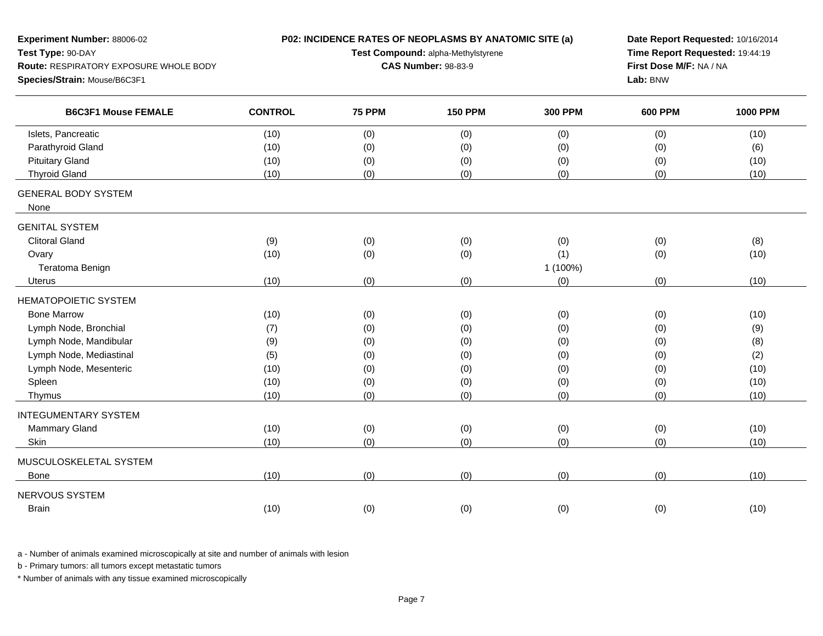| Experiment Number: 88006-02            |                |                            | P02: INCIDENCE RATES OF NEOPLASMS BY ANATOMIC SITE (a) |                         | Date Report Requested: 10/16/2014 |                 |
|----------------------------------------|----------------|----------------------------|--------------------------------------------------------|-------------------------|-----------------------------------|-----------------|
| Test Type: 90-DAY                      |                |                            | Test Compound: alpha-Methylstyrene                     |                         | Time Report Requested: 19:44:19   |                 |
| Route: RESPIRATORY EXPOSURE WHOLE BODY |                | <b>CAS Number: 98-83-9</b> |                                                        | First Dose M/F: NA / NA |                                   |                 |
| Species/Strain: Mouse/B6C3F1           |                |                            |                                                        |                         | Lab: BNW                          |                 |
| <b>B6C3F1 Mouse FEMALE</b>             | <b>CONTROL</b> | <b>75 PPM</b>              | <b>150 PPM</b>                                         | <b>300 PPM</b>          | <b>600 PPM</b>                    | <b>1000 PPM</b> |
| Islets, Pancreatic                     | (10)           | (0)                        | (0)                                                    | (0)                     | (0)                               | (10)            |
| Parathyroid Gland                      | (10)           | (0)                        | (0)                                                    | (0)                     | (0)                               | (6)             |
| <b>Pituitary Gland</b>                 | (10)           | (0)                        | (0)                                                    | (0)                     | (0)                               | (10)            |
| <b>Thyroid Gland</b>                   | (10)           | (0)                        | (0)                                                    | (0)                     | (0)                               | (10)            |
| <b>GENERAL BODY SYSTEM</b><br>None     |                |                            |                                                        |                         |                                   |                 |
| <b>GENITAL SYSTEM</b>                  |                |                            |                                                        |                         |                                   |                 |
| <b>Clitoral Gland</b>                  | (9)            | (0)                        | (0)                                                    | (0)                     | (0)                               | (8)             |
| Ovary                                  | (10)           | (0)                        | (0)                                                    | (1)                     | (0)                               | (10)            |
| Teratoma Benign                        |                |                            |                                                        | 1 (100%)                |                                   |                 |
| <b>Uterus</b>                          | (10)           | (0)                        | (0)                                                    | (0)                     | (0)                               | (10)            |
| <b>HEMATOPOIETIC SYSTEM</b>            |                |                            |                                                        |                         |                                   |                 |
| <b>Bone Marrow</b>                     | (10)           | (0)                        | (0)                                                    | (0)                     | (0)                               | (10)            |
| Lymph Node, Bronchial                  | (7)            | (0)                        | (0)                                                    | (0)                     | (0)                               | (9)             |
| Lymph Node, Mandibular                 | (9)            | (0)                        | (0)                                                    | (0)                     | (0)                               | (8)             |
| Lymph Node, Mediastinal                | (5)            | (0)                        | (0)                                                    | (0)                     | (0)                               | (2)             |
| Lymph Node, Mesenteric                 | (10)           | (0)                        | (0)                                                    | (0)                     | (0)                               | (10)            |
| Spleen                                 | (10)           | (0)                        | (0)                                                    | (0)                     | (0)                               | (10)            |
| Thymus                                 | (10)           | (0)                        | (0)                                                    | (0)                     | (0)                               | (10)            |
| <b>INTEGUMENTARY SYSTEM</b>            |                |                            |                                                        |                         |                                   |                 |
| Mammary Gland                          | (10)           | (0)                        | (0)                                                    | (0)                     | (0)                               | (10)            |
| Skin                                   | (10)           | (0)                        | (0)                                                    | (0)                     | (0)                               | (10)            |
| MUSCULOSKELETAL SYSTEM                 |                |                            |                                                        |                         |                                   |                 |
| <b>Bone</b>                            | (10)           | (0)                        | (0)                                                    | (0)                     | (0)                               | (10)            |
| NERVOUS SYSTEM                         |                |                            |                                                        |                         |                                   |                 |
| <b>Brain</b>                           | (10)           | (0)                        | (0)                                                    | (0)                     | (0)                               | (10)            |
|                                        |                |                            |                                                        |                         |                                   |                 |

b - Primary tumors: all tumors except metastatic tumors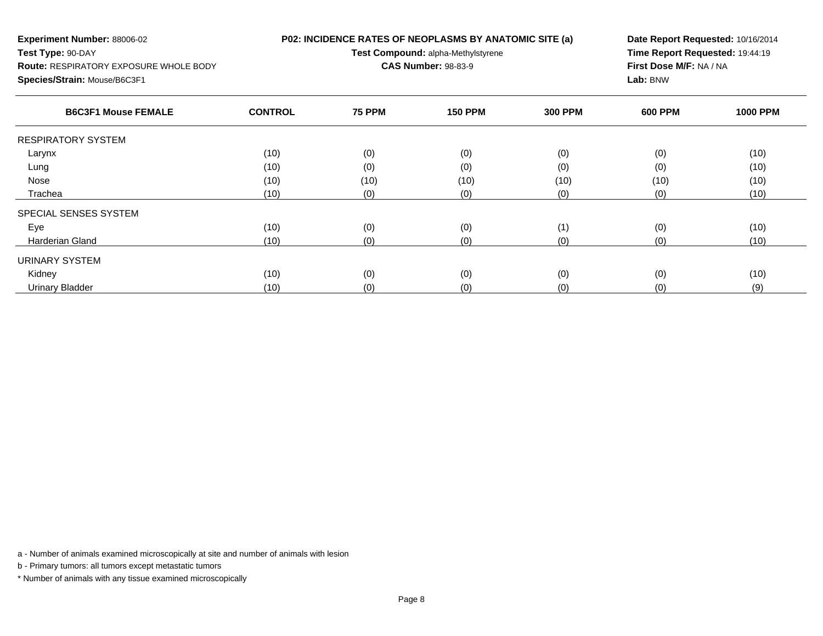| <b>Experiment Number: 88006-02</b><br>Test Type: 90-DAY<br><b>Route: RESPIRATORY EXPOSURE WHOLE BODY</b><br>Species/Strain: Mouse/B6C3F1 | P02: INCIDENCE RATES OF NEOPLASMS BY ANATOMIC SITE (a)<br>Test Compound: alpha-Methylstyrene<br><b>CAS Number: 98-83-9</b> |               |                |                | Date Report Requested: 10/16/2014<br>Time Report Requested: 19:44:19<br>First Dose M/F: NA / NA<br>Lab: BNW |                 |
|------------------------------------------------------------------------------------------------------------------------------------------|----------------------------------------------------------------------------------------------------------------------------|---------------|----------------|----------------|-------------------------------------------------------------------------------------------------------------|-----------------|
| <b>B6C3F1 Mouse FEMALE</b>                                                                                                               | <b>CONTROL</b>                                                                                                             | <b>75 PPM</b> | <b>150 PPM</b> | <b>300 PPM</b> | <b>600 PPM</b>                                                                                              | <b>1000 PPM</b> |
| <b>RESPIRATORY SYSTEM</b>                                                                                                                |                                                                                                                            |               |                |                |                                                                                                             |                 |
| Larynx                                                                                                                                   | (10)                                                                                                                       | (0)           | (0)            | (0)            | (0)                                                                                                         | (10)            |
| Lung                                                                                                                                     | (10)                                                                                                                       | (0)           | (0)            | (0)            | (0)                                                                                                         | (10)            |
| Nose                                                                                                                                     | (10)                                                                                                                       | (10)          | (10)           | (10)           | (10)                                                                                                        | (10)            |
| Trachea                                                                                                                                  | (10)                                                                                                                       | (0)           | (0)            | (0)            | (0)                                                                                                         | (10)            |
| SPECIAL SENSES SYSTEM                                                                                                                    |                                                                                                                            |               |                |                |                                                                                                             |                 |
| Eye                                                                                                                                      | (10)                                                                                                                       | (0)           | (0)            | (1)            | (0)                                                                                                         | (10)            |
| Harderian Gland                                                                                                                          | (10)                                                                                                                       | (0)           | (0)            | (0)            | (0)                                                                                                         | (10)            |
| URINARY SYSTEM                                                                                                                           |                                                                                                                            |               |                |                |                                                                                                             |                 |
| Kidney                                                                                                                                   | (10)                                                                                                                       | (0)           | (0)            | (0)            | (0)                                                                                                         | (10)            |
| <b>Urinary Bladder</b>                                                                                                                   | (10)                                                                                                                       | (0)           | (0)            | (0)            | (0)                                                                                                         | (9)             |

r (10) (10) (0) (0) (0) (0) (0) (9) (9)

a - Number of animals examined microscopically at site and number of animals with lesion

b - Primary tumors: all tumors except metastatic tumors